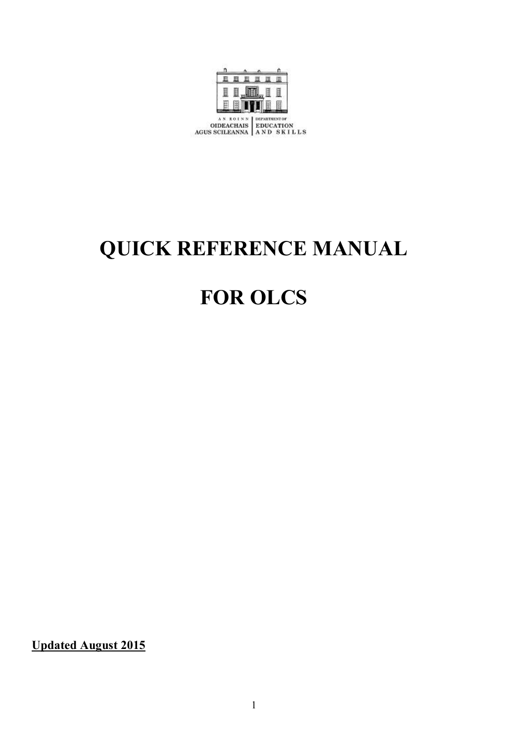

# **QUICK REFERENCE MANUAL**

# **FOR OLCS**

**Updated August 2015**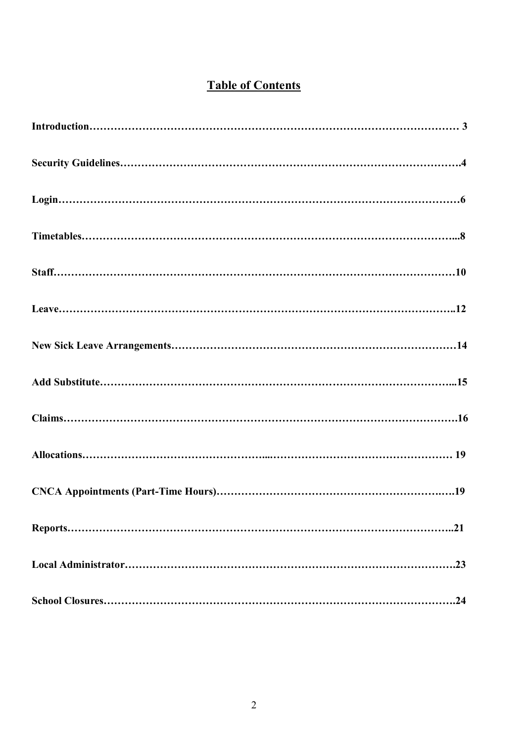# **Table of Contents**

| .23 |
|-----|
|     |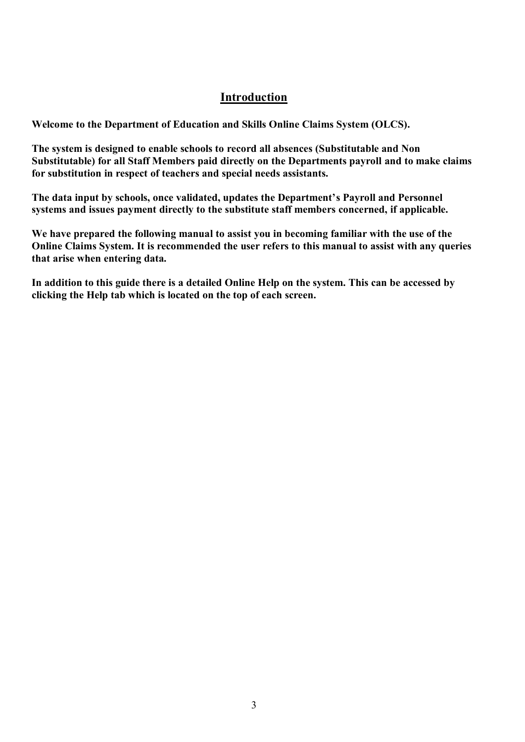# **Introduction**

**Welcome to the Department of Education and Skills Online Claims System (OLCS).** 

**The system is designed to enable schools to record all absences (Substitutable and Non Substitutable) for all Staff Members paid directly on the Departments payroll and to make claims for substitution in respect of teachers and special needs assistants.** 

**The data input by schools, once validated, updates the Department's Payroll and Personnel systems and issues payment directly to the substitute staff members concerned, if applicable.**

**We have prepared the following manual to assist you in becoming familiar with the use of the Online Claims System. It is recommended the user refers to this manual to assist with any queries that arise when entering data.** 

**In addition to this guide there is a detailed Online Help on the system. This can be accessed by clicking the Help tab which is located on the top of each screen.**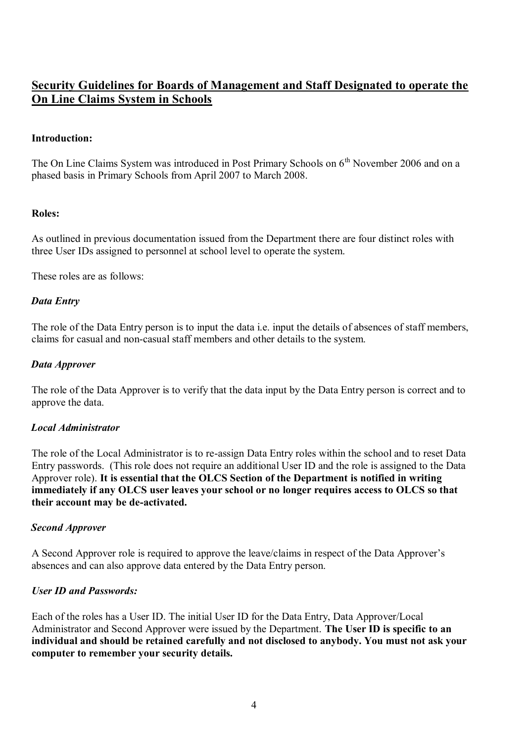# **Security Guidelines for Boards of Management and Staff Designated to operate the On Line Claims System in Schools**

#### **Introduction:**

The On Line Claims System was introduced in Post Primary Schools on 6<sup>th</sup> November 2006 and on a phased basis in Primary Schools from April 2007 to March 2008.

#### **Roles:**

As outlined in previous documentation issued from the Department there are four distinct roles with three User IDs assigned to personnel at school level to operate the system.

These roles are as follows:

#### *Data Entry*

The role of the Data Entry person is to input the data i.e. input the details of absences of staff members, claims for casual and non-casual staff members and other details to the system.

#### *Data Approver*

The role of the Data Approver is to verify that the data input by the Data Entry person is correct and to approve the data.

#### *Local Administrator*

The role of the Local Administrator is to re-assign Data Entry roles within the school and to reset Data Entry passwords. (This role does not require an additional User ID and the role is assigned to the Data Approver role). **It is essential that the OLCS Section of the Department is notified in writing immediately if any OLCS user leaves your school or no longer requires access to OLCS so that their account may be de-activated.**

#### *Second Approver*

A Second Approver role is required to approve the leave/claims in respect of the Data Approver's absences and can also approve data entered by the Data Entry person.

## *User ID and Passwords:*

Each of the roles has a User ID. The initial User ID for the Data Entry, Data Approver/Local Administrator and Second Approver were issued by the Department. **The User ID is specific to an individual and should be retained carefully and not disclosed to anybody. You must not ask your computer to remember your security details.**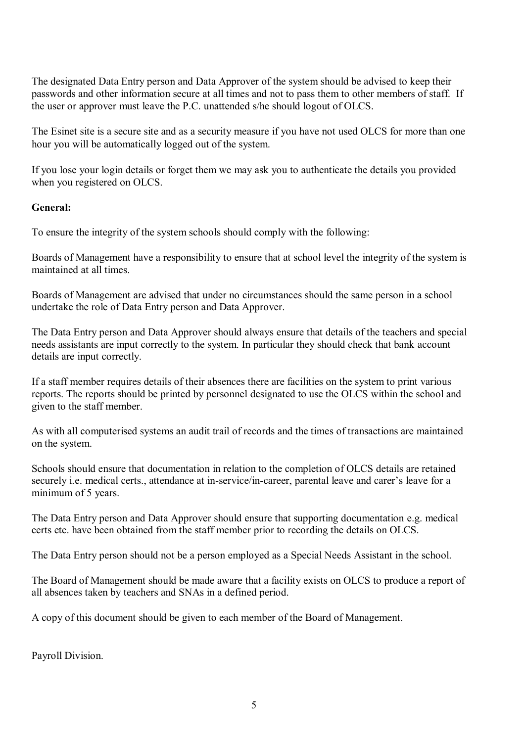The designated Data Entry person and Data Approver of the system should be advised to keep their passwords and other information secure at all times and not to pass them to other members of staff. If the user or approver must leave the P.C. unattended s/he should logout of OLCS.

The Esinet site is a secure site and as a security measure if you have not used OLCS for more than one hour you will be automatically logged out of the system.

If you lose your login details or forget them we may ask you to authenticate the details you provided when you registered on OLCS.

## **General:**

To ensure the integrity of the system schools should comply with the following:

Boards of Management have a responsibility to ensure that at school level the integrity of the system is maintained at all times.

Boards of Management are advised that under no circumstances should the same person in a school undertake the role of Data Entry person and Data Approver.

The Data Entry person and Data Approver should always ensure that details of the teachers and special needs assistants are input correctly to the system. In particular they should check that bank account details are input correctly.

If a staff member requires details of their absences there are facilities on the system to print various reports. The reports should be printed by personnel designated to use the OLCS within the school and given to the staff member.

As with all computerised systems an audit trail of records and the times of transactions are maintained on the system.

Schools should ensure that documentation in relation to the completion of OLCS details are retained securely i.e. medical certs., attendance at in-service/in-career, parental leave and carer's leave for a minimum of 5 years.

The Data Entry person and Data Approver should ensure that supporting documentation e.g. medical certs etc. have been obtained from the staff member prior to recording the details on OLCS.

The Data Entry person should not be a person employed as a Special Needs Assistant in the school.

The Board of Management should be made aware that a facility exists on OLCS to produce a report of all absences taken by teachers and SNAs in a defined period.

A copy of this document should be given to each member of the Board of Management.

Payroll Division.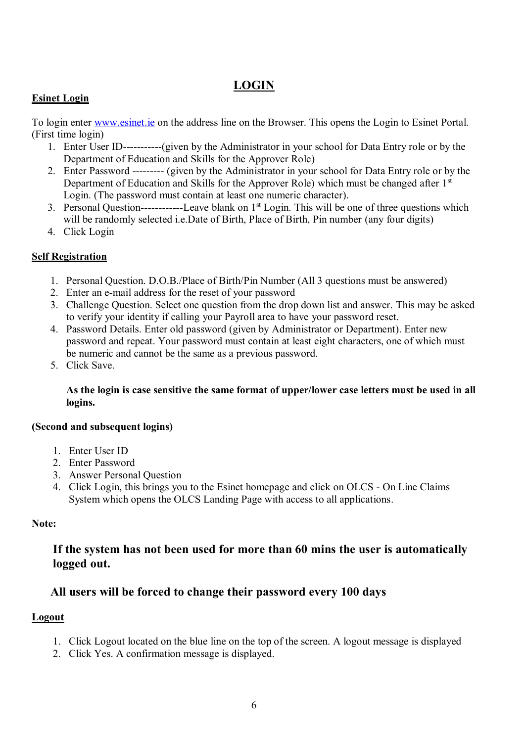# **LOGIN**

# **Esinet Login**

To login enter [www.esinet.ie](http://www.esinet.ie/) on the address line on the Browser. This opens the Login to Esinet Portal. (First time login)

- 1. Enter User ID-----------(given by the Administrator in your school for Data Entry role or by the Department of Education and Skills for the Approver Role)
- 2. Enter Password --------- (given by the Administrator in your school for Data Entry role or by the Department of Education and Skills for the Approver Role) which must be changed after 1<sup>st</sup> Login. (The password must contain at least one numeric character).
- 3. Personal Question---------------Leave blank on  $1<sup>st</sup>$  Login. This will be one of three questions which will be randomly selected i.e.Date of Birth, Place of Birth, Pin number (any four digits)
- 4. Click Login

# **Self Registration**

- 1. Personal Question. D.O.B./Place of Birth/Pin Number (All 3 questions must be answered)
- 2. Enter an e-mail address for the reset of your password
- 3. Challenge Question. Select one question from the drop down list and answer. This may be asked to verify your identity if calling your Payroll area to have your password reset.
- 4. Password Details. Enter old password (given by Administrator or Department). Enter new password and repeat. Your password must contain at least eight characters, one of which must be numeric and cannot be the same as a previous password.
- 5. Click Save.

## **As the login is case sensitive the same format of upper/lower case letters must be used in all logins.**

## **(Second and subsequent logins)**

- 1. Enter User ID
- 2. Enter Password
- 3. Answer Personal Question
- 4. Click Login, this brings you to the Esinet homepage and click on OLCS On Line Claims System which opens the OLCS Landing Page with access to all applications.

# **Note:**

# **If the system has not been used for more than 60 mins the user is automatically logged out.**

# **All users will be forced to change their password every 100 days**

# **Logout**

- 1. Click Logout located on the blue line on the top of the screen. A logout message is displayed
- 2. Click Yes. A confirmation message is displayed.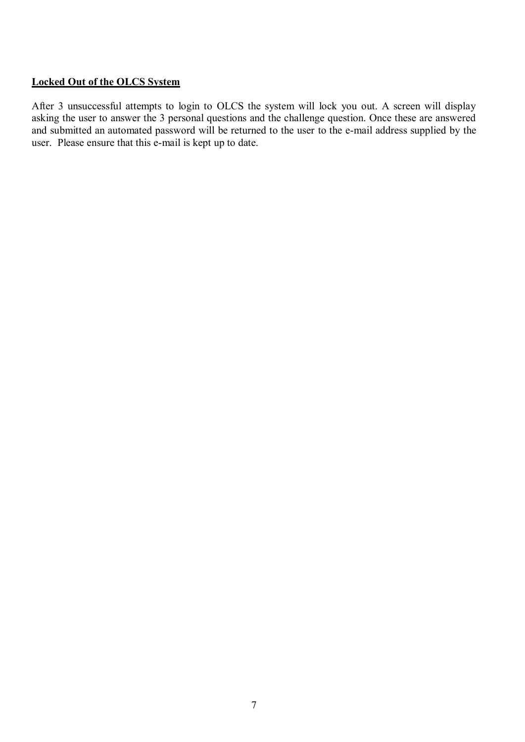#### **Locked Out of the OLCS System**

After 3 unsuccessful attempts to login to OLCS the system will lock you out. A screen will display asking the user to answer the 3 personal questions and the challenge question. Once these are answered and submitted an automated password will be returned to the user to the e-mail address supplied by the user. Please ensure that this e-mail is kept up to date.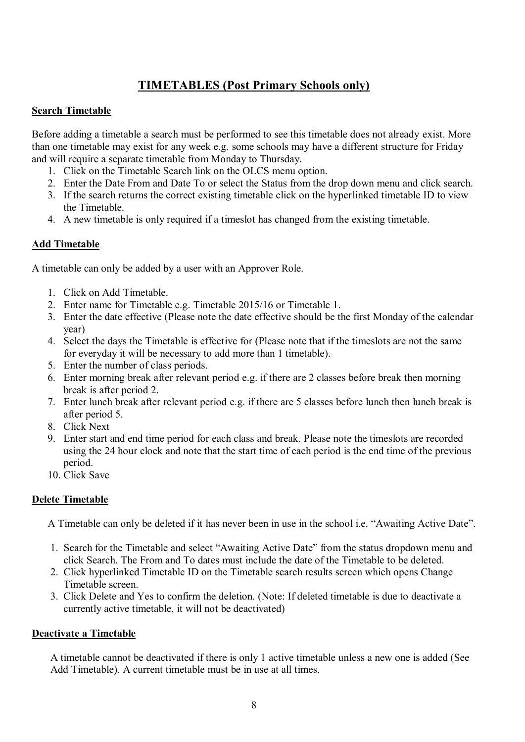# **TIMETABLES (Post Primary Schools only)**

# **Search Timetable**

Before adding a timetable a search must be performed to see this timetable does not already exist. More than one timetable may exist for any week e.g. some schools may have a different structure for Friday and will require a separate timetable from Monday to Thursday.

- 1. Click on the Timetable Search link on the OLCS menu option.
- 2. Enter the Date From and Date To or select the Status from the drop down menu and click search.
- 3. If the search returns the correct existing timetable click on the hyperlinked timetable ID to view the Timetable.
- 4. A new timetable is only required if a timeslot has changed from the existing timetable.

# **Add Timetable**

A timetable can only be added by a user with an Approver Role.

- 1. Click on Add Timetable.
- 2. Enter name for Timetable e.g. Timetable 2015/16 or Timetable 1.
- 3. Enter the date effective (Please note the date effective should be the first Monday of the calendar year)
- 4. Select the days the Timetable is effective for (Please note that if the timeslots are not the same for everyday it will be necessary to add more than 1 timetable).
- 5. Enter the number of class periods.
- 6. Enter morning break after relevant period e.g. if there are 2 classes before break then morning break is after period 2.
- 7. Enter lunch break after relevant period e.g. if there are 5 classes before lunch then lunch break is after period 5.
- 8. Click Next
- 9. Enter start and end time period for each class and break. Please note the timeslots are recorded using the 24 hour clock and note that the start time of each period is the end time of the previous period.
- 10. Click Save

# **Delete Timetable**

A Timetable can only be deleted if it has never been in use in the school i.e. "Awaiting Active Date".

- 1. Search for the Timetable and select "Awaiting Active Date" from the status dropdown menu and click Search. The From and To dates must include the date of the Timetable to be deleted.
- 2. Click hyperlinked Timetable ID on the Timetable search results screen which opens Change Timetable screen.
- 3. Click Delete and Yes to confirm the deletion. (Note: If deleted timetable is due to deactivate a currently active timetable, it will not be deactivated)

## **Deactivate a Timetable**

A timetable cannot be deactivated if there is only 1 active timetable unless a new one is added (See Add Timetable). A current timetable must be in use at all times.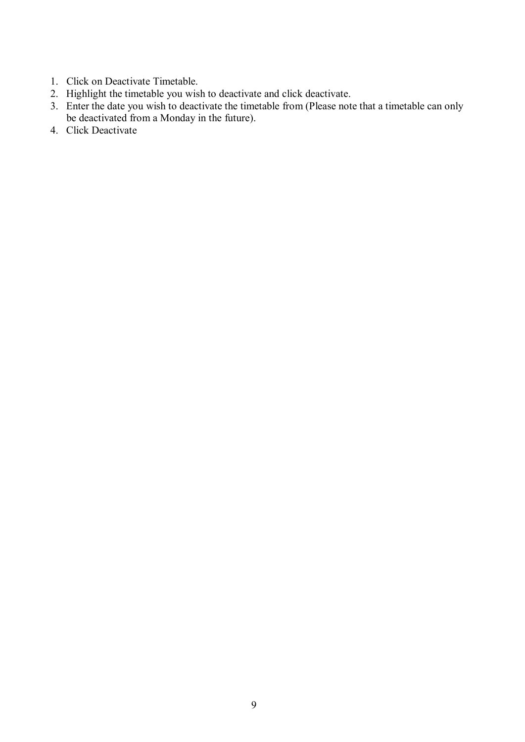- 1. Click on Deactivate Timetable.
- 2. Highlight the timetable you wish to deactivate and click deactivate.
- 3. Enter the date you wish to deactivate the timetable from (Please note that a timetable can only be deactivated from a Monday in the future).
- 4. Click Deactivate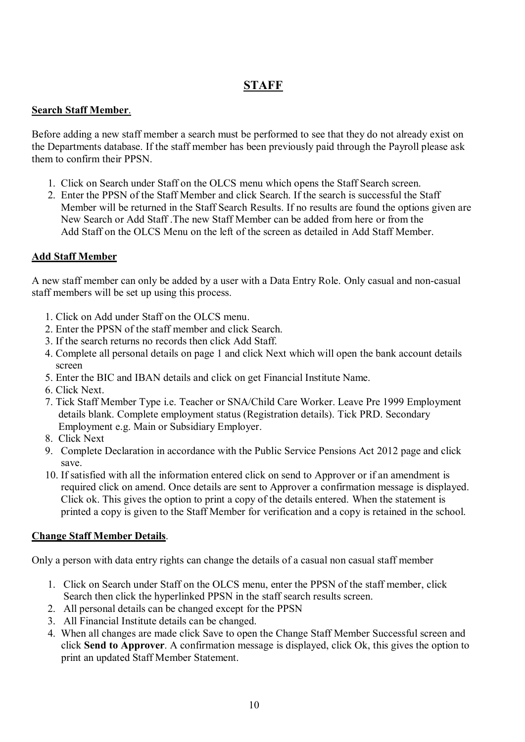# **STAFF**

# **Search Staff Member**.

Before adding a new staff member a search must be performed to see that they do not already exist on the Departments database. If the staff member has been previously paid through the Payroll please ask them to confirm their PPSN.

- 1. Click on Search under Staff on the OLCS menu which opens the Staff Search screen.
- 2. Enter the PPSN of the Staff Member and click Search. If the search is successful the Staff Member will be returned in the Staff Search Results. If no results are found the options given are New Search or Add Staff .The new Staff Member can be added from here or from the Add Staff on the OLCS Menu on the left of the screen as detailed in Add Staff Member.

# **Add Staff Member**

A new staff member can only be added by a user with a Data Entry Role. Only casual and non-casual staff members will be set up using this process.

- 1. Click on Add under Staff on the OLCS menu.
- 2. Enter the PPSN of the staff member and click Search.
- 3. If the search returns no records then click Add Staff.
- 4. Complete all personal details on page 1 and click Next which will open the bank account details screen
- 5. Enter the BIC and IBAN details and click on get Financial Institute Name.
- 6. Click Next.
- 7. Tick Staff Member Type i.e. Teacher or SNA/Child Care Worker. Leave Pre 1999 Employment details blank. Complete employment status (Registration details). Tick PRD. Secondary Employment e.g. Main or Subsidiary Employer.
- 8. Click Next
- 9. Complete Declaration in accordance with the Public Service Pensions Act 2012 page and click save.
- 10. If satisfied with all the information entered click on send to Approver or if an amendment is required click on amend. Once details are sent to Approver a confirmation message is displayed. Click ok. This gives the option to print a copy of the details entered. When the statement is printed a copy is given to the Staff Member for verification and a copy is retained in the school.

## **Change Staff Member Details**.

Only a person with data entry rights can change the details of a casual non casual staff member

- 1. Click on Search under Staff on the OLCS menu, enter the PPSN of the staff member, click Search then click the hyperlinked PPSN in the staff search results screen.
- 2. All personal details can be changed except for the PPSN
- 3. All Financial Institute details can be changed.
- 4. When all changes are made click Save to open the Change Staff Member Successful screen and click **Send to Approver**. A confirmation message is displayed, click Ok, this gives the option to print an updated Staff Member Statement.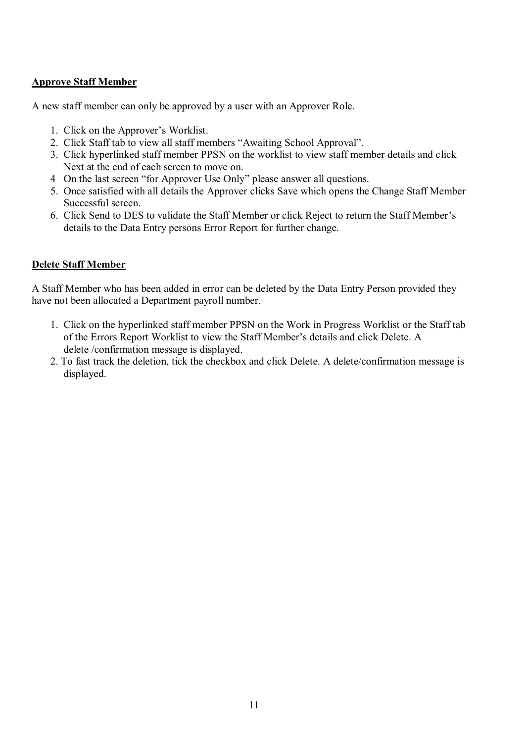## **Approve Staff Member**

A new staff member can only be approved by a user with an Approver Role.

- 1. Click on the Approver's Worklist.
- 2. Click Staff tab to view all staff members "Awaiting School Approval".
- 3. Click hyperlinked staff member PPSN on the worklist to view staff member details and click Next at the end of each screen to move on.
- 4 On the last screen "for Approver Use Only" please answer all questions.
- 5. Once satisfied with all details the Approver clicks Save which opens the Change Staff Member Successful screen.
- 6. Click Send to DES to validate the Staff Member or click Reject to return the Staff Member's details to the Data Entry persons Error Report for further change.

#### **Delete Staff Member**

A Staff Member who has been added in error can be deleted by the Data Entry Person provided they have not been allocated a Department payroll number.

- 1. Click on the hyperlinked staff member PPSN on the Work in Progress Worklist or the Staff tab of the Errors Report Worklist to view the Staff Member's details and click Delete. A delete /confirmation message is displayed.
- 2. To fast track the deletion, tick the checkbox and click Delete. A delete/confirmation message is displayed.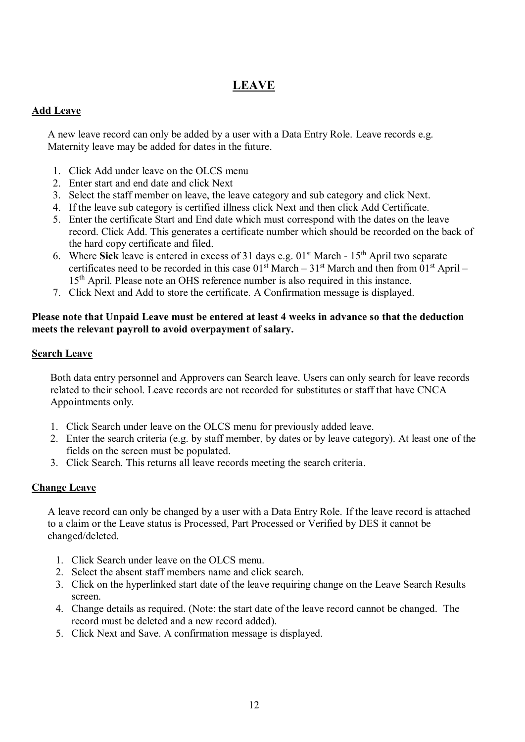# **LEAVE**

## **Add Leave**

A new leave record can only be added by a user with a Data Entry Role. Leave records e.g. Maternity leave may be added for dates in the future.

- 1. Click Add under leave on the OLCS menu
- 2. Enter start and end date and click Next
- 3. Select the staff member on leave, the leave category and sub category and click Next.
- 4. If the leave sub category is certified illness click Next and then click Add Certificate.
- 5. Enter the certificate Start and End date which must correspond with the dates on the leave record. Click Add. This generates a certificate number which should be recorded on the back of the hard copy certificate and filed.
- 6. Where **Sick** leave is entered in excess of 31 days e.g. 01<sup>st</sup> March 15<sup>th</sup> April two separate certificates need to be recorded in this case  $01<sup>st</sup>$  March – 31<sup>st</sup> March and then from  $01<sup>st</sup>$  April – 15<sup>th</sup> April. Please note an OHS reference number is also required in this instance.
- 7. Click Next and Add to store the certificate. A Confirmation message is displayed.

# **Please note that Unpaid Leave must be entered at least 4 weeks in advance so that the deduction meets the relevant payroll to avoid overpayment of salary.**

# **Search Leave**

Both data entry personnel and Approvers can Search leave. Users can only search for leave records related to their school. Leave records are not recorded for substitutes or staff that have CNCA Appointments only.

- 1. Click Search under leave on the OLCS menu for previously added leave.
- 2. Enter the search criteria (e.g. by staff member, by dates or by leave category). At least one of the fields on the screen must be populated.
- 3. Click Search. This returns all leave records meeting the search criteria.

# **Change Leave**

A leave record can only be changed by a user with a Data Entry Role. If the leave record is attached to a claim or the Leave status is Processed, Part Processed or Verified by DES it cannot be changed/deleted.

- 1. Click Search under leave on the OLCS menu.
- 2. Select the absent staff members name and click search.
- 3. Click on the hyperlinked start date of the leave requiring change on the Leave Search Results screen.
- 4. Change details as required. (Note: the start date of the leave record cannot be changed. The record must be deleted and a new record added).
- 5. Click Next and Save. A confirmation message is displayed.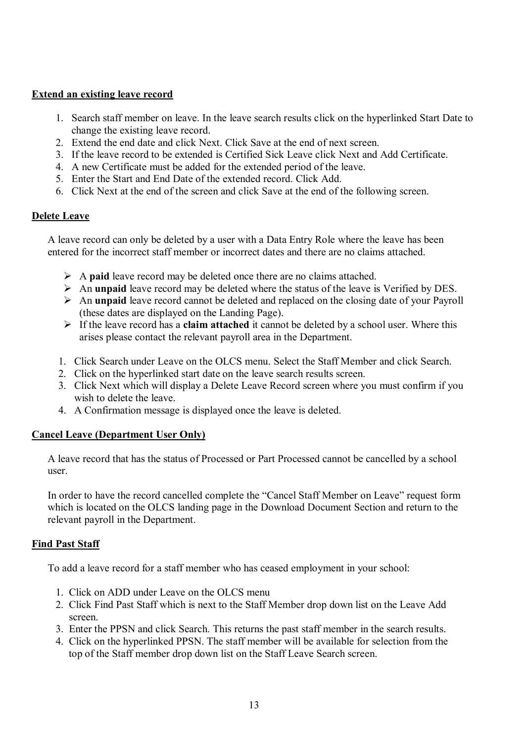#### **Extend an existing leave record**

- 1. Search staff member on leave. In the leave search results click on the hyperlinked Start Date to change the existing leave record.
- 2. Extend the end date and click Next. Click Save at the end of next screen.
- 3. If the leave record to be extended is Certified Sick Leave click Next and Add Certificate.
- 4. A new Certificate must be added for the extended period of the leave.
- 5. Enter the Start and End Date of the extended record. Click Add.
- 6. Click Next at the end of the screen and click Save at the end of the following screen.

#### **Delete Leave**

A leave record can only be deleted by a user with a Data Entry Role where the leave has been entered for the incorrect staff member or incorrect dates and there are no claims attached.

- A **paid** leave record may be deleted once there are no claims attached.
- An **unpaid** leave record may be deleted where the status of the leave is Verified by DES.
- An **unpaid** leave record cannot be deleted and replaced on the closing date of your Payroll (these dates are displayed on the Landing Page).
- If the leave record has a **claim attached** it cannot be deleted by a school user. Where this arises please contact the relevant payroll area in the Department.
- 1. Click Search under Leave on the OLCS menu. Select the Staff Member and click Search.
- 2. Click on the hyperlinked start date on the leave search results screen.
- 3. Click Next which will display a Delete Leave Record screen where you must confirm if you wish to delete the leave.
- 4. A Confirmation message is displayed once the leave is deleted.

## **Cancel Leave (Department User Only)**

A leave record that has the status of Processed or Part Processed cannot be cancelled by a school user.

In order to have the record cancelled complete the "Cancel Staff Member on Leave" request form which is located on the OLCS landing page in the Download Document Section and return to the relevant payroll in the Department.

## **Find Past Staff**

To add a leave record for a staff member who has ceased employment in your school:

- 1. Click on ADD under Leave on the OLCS menu
- 2. Click Find Past Staff which is next to the Staff Member drop down list on the Leave Add screen.
- 3. Enter the PPSN and click Search. This returns the past staff member in the search results.
- 4. Click on the hyperlinked PPSN. The staff member will be available for selection from the top of the Staff member drop down list on the Staff Leave Search screen.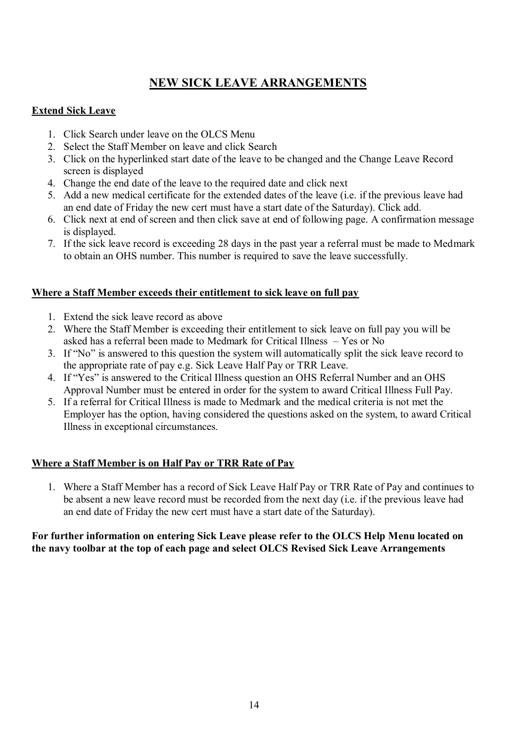# **NEW SICK LEAVE ARRANGEMENTS**

# **Extend Sick Leave**

- 1. Click Search under leave on the OLCS Menu
- 2. Select the Staff Member on leave and click Search
- 3. Click on the hyperlinked start date of the leave to be changed and the Change Leave Record screen is displayed
- 4. Change the end date of the leave to the required date and click next
- 5. Add a new medical certificate for the extended dates of the leave (i.e. if the previous leave had an end date of Friday the new cert must have a start date of the Saturday). Click add.
- 6. Click next at end of screen and then click save at end of following page. A confirmation message is displayed.
- 7. If the sick leave record is exceeding 28 days in the past year a referral must be made to Medmark to obtain an OHS number. This number is required to save the leave successfully.

## **Where a Staff Member exceeds their entitlement to sick leave on full pay**

- 1. Extend the sick leave record as above
- 2. Where the Staff Member is exceeding their entitlement to sick leave on full pay you will be asked has a referral been made to Medmark for Critical Illness – Yes or No
- 3. If "No" is answered to this question the system will automatically split the sick leave record to the appropriate rate of pay e.g. Sick Leave Half Pay or TRR Leave.
- 4. If "Yes" is answered to the Critical Illness question an OHS Referral Number and an OHS Approval Number must be entered in order for the system to award Critical Illness Full Pay.
- 5. If a referral for Critical Illness is made to Medmark and the medical criteria is not met the Employer has the option, having considered the questions asked on the system, to award Critical Illness in exceptional circumstances.

# **Where a Staff Member is on Half Pay or TRR Rate of Pay**

1. Where a Staff Member has a record of Sick Leave Half Pay or TRR Rate of Pay and continues to be absent a new leave record must be recorded from the next day (i.e. if the previous leave had an end date of Friday the new cert must have a start date of the Saturday).

## **For further information on entering Sick Leave please refer to the OLCS Help Menu located on the navy toolbar at the top of each page and select OLCS Revised Sick Leave Arrangements**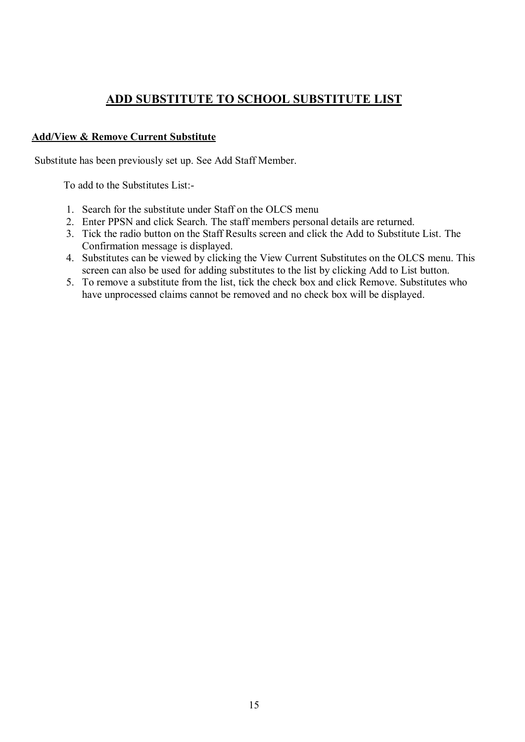# **ADD SUBSTITUTE TO SCHOOL SUBSTITUTE LIST**

## **Add/View & Remove Current Substitute**

Substitute has been previously set up. See Add Staff Member.

To add to the Substitutes List:-

- 1. Search for the substitute under Staff on the OLCS menu
- 2. Enter PPSN and click Search. The staff members personal details are returned.
- 3. Tick the radio button on the Staff Results screen and click the Add to Substitute List. The Confirmation message is displayed.
- 4. Substitutes can be viewed by clicking the View Current Substitutes on the OLCS menu. This screen can also be used for adding substitutes to the list by clicking Add to List button.
- 5. To remove a substitute from the list, tick the check box and click Remove. Substitutes who have unprocessed claims cannot be removed and no check box will be displayed.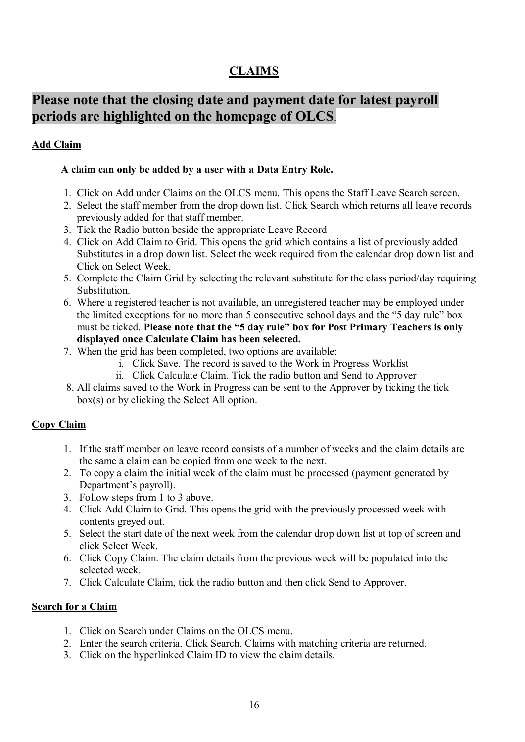# **CLAIMS**

# **Please note that the closing date and payment date for latest payroll periods are highlighted on the homepage of OLCS**.

# **Add Claim**

# **A claim can only be added by a user with a Data Entry Role.**

- 1. Click on Add under Claims on the OLCS menu. This opens the Staff Leave Search screen.
- 2. Select the staff member from the drop down list. Click Search which returns all leave records previously added for that staff member.
- 3. Tick the Radio button beside the appropriate Leave Record
- 4. Click on Add Claim to Grid. This opens the grid which contains a list of previously added Substitutes in a drop down list. Select the week required from the calendar drop down list and Click on Select Week.
- 5. Complete the Claim Grid by selecting the relevant substitute for the class period/day requiring Substitution.
- 6. Where a registered teacher is not available, an unregistered teacher may be employed under the limited exceptions for no more than 5 consecutive school days and the "5 day rule" box must be ticked. **Please note that the "5 day rule" box for Post Primary Teachers is only displayed once Calculate Claim has been selected.**
- 7. When the grid has been completed, two options are available:
	- i. Click Save. The record is saved to the Work in Progress Worklist
	- ii. Click Calculate Claim. Tick the radio button and Send to Approver
- 8. All claims saved to the Work in Progress can be sent to the Approver by ticking the tick box(s) or by clicking the Select All option.

# **Copy Claim**

- 1. If the staff member on leave record consists of a number of weeks and the claim details are the same a claim can be copied from one week to the next.
- 2. To copy a claim the initial week of the claim must be processed (payment generated by Department's payroll).
- 3. Follow steps from 1 to 3 above.
- 4. Click Add Claim to Grid. This opens the grid with the previously processed week with contents greyed out.
- 5. Select the start date of the next week from the calendar drop down list at top of screen and click Select Week.
- 6. Click Copy Claim. The claim details from the previous week will be populated into the selected week.
- 7. Click Calculate Claim, tick the radio button and then click Send to Approver.

# **Search for a Claim**

- 1. Click on Search under Claims on the OLCS menu.
- 2. Enter the search criteria. Click Search. Claims with matching criteria are returned.
- 3. Click on the hyperlinked Claim ID to view the claim details.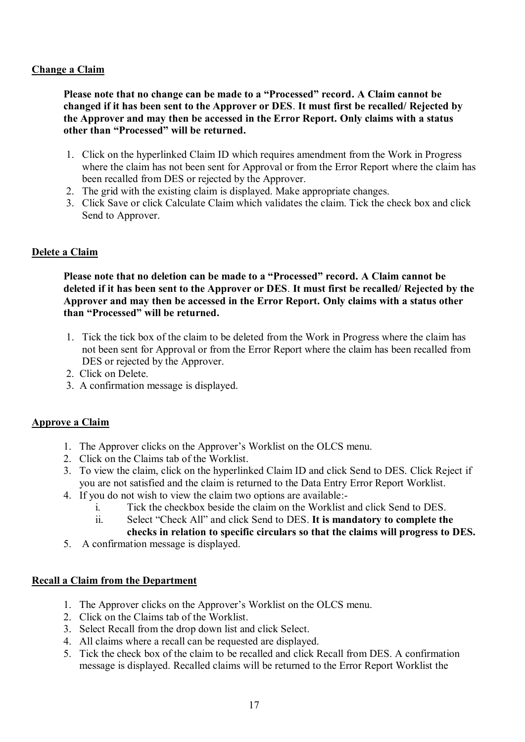# **Change a Claim**

**Please note that no change can be made to a "Processed" record. A Claim cannot be changed if it has been sent to the Approver or DES**. **It must first be recalled/ Rejected by the Approver and may then be accessed in the Error Report. Only claims with a status other than "Processed" will be returned.** 

- 1. Click on the hyperlinked Claim ID which requires amendment from the Work in Progress where the claim has not been sent for Approval or from the Error Report where the claim has been recalled from DES or rejected by the Approver.
- 2. The grid with the existing claim is displayed. Make appropriate changes.
- 3. Click Save or click Calculate Claim which validates the claim. Tick the check box and click Send to Approver.

# **Delete a Claim**

**Please note that no deletion can be made to a "Processed" record. A Claim cannot be deleted if it has been sent to the Approver or DES**. **It must first be recalled/ Rejected by the Approver and may then be accessed in the Error Report. Only claims with a status other than "Processed" will be returned.** 

- 1. Tick the tick box of the claim to be deleted from the Work in Progress where the claim has not been sent for Approval or from the Error Report where the claim has been recalled from DES or rejected by the Approver.
- 2. Click on Delete.
- 3. A confirmation message is displayed.

## **Approve a Claim**

- 1. The Approver clicks on the Approver's Worklist on the OLCS menu.
- 2. Click on the Claims tab of the Worklist.
- 3. To view the claim, click on the hyperlinked Claim ID and click Send to DES. Click Reject if you are not satisfied and the claim is returned to the Data Entry Error Report Worklist.
- 4. If you do not wish to view the claim two options are available:
	- i. Tick the checkbox beside the claim on the Worklist and click Send to DES.
	- ii. Select "Check All" and click Send to DES. **It is mandatory to complete the**
	- **checks in relation to specific circulars so that the claims will progress to DES.**
- 5. A confirmation message is displayed.

## **Recall a Claim from the Department**

- 1. The Approver clicks on the Approver's Worklist on the OLCS menu.
- 2. Click on the Claims tab of the Worklist.
- 3. Select Recall from the drop down list and click Select.
- 4. All claims where a recall can be requested are displayed.
- 5. Tick the check box of the claim to be recalled and click Recall from DES. A confirmation message is displayed. Recalled claims will be returned to the Error Report Worklist the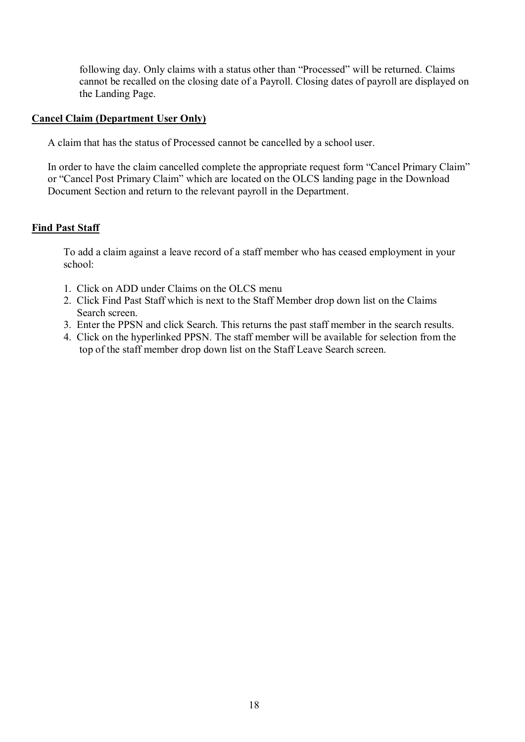following day. Only claims with a status other than "Processed" will be returned. Claims cannot be recalled on the closing date of a Payroll. Closing dates of payroll are displayed on the Landing Page.

#### **Cancel Claim (Department User Only)**

A claim that has the status of Processed cannot be cancelled by a school user.

In order to have the claim cancelled complete the appropriate request form "Cancel Primary Claim" or "Cancel Post Primary Claim" which are located on the OLCS landing page in the Download Document Section and return to the relevant payroll in the Department.

#### **Find Past Staff**

To add a claim against a leave record of a staff member who has ceased employment in your school:

- 1. Click on ADD under Claims on the OLCS menu
- 2. Click Find Past Staff which is next to the Staff Member drop down list on the Claims Search screen.
- 3. Enter the PPSN and click Search. This returns the past staff member in the search results.
- 4. Click on the hyperlinked PPSN. The staff member will be available for selection from the top of the staff member drop down list on the Staff Leave Search screen.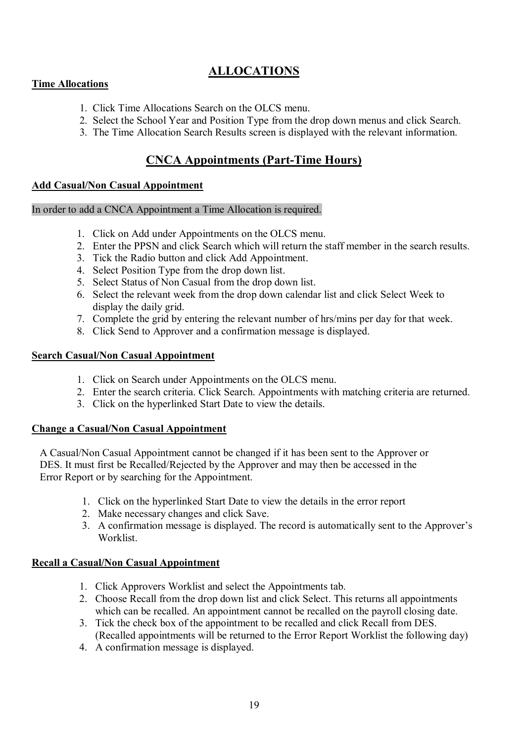# **ALLOCATIONS**

## **Time Allocations**

- 1. Click Time Allocations Search on the OLCS menu.
- 2. Select the School Year and Position Type from the drop down menus and click Search.
- 3. The Time Allocation Search Results screen is displayed with the relevant information.

# **CNCA Appointments (Part-Time Hours)**

## **Add Casual/Non Casual Appointment**

#### In order to add a CNCA Appointment a Time Allocation is required.

- 1. Click on Add under Appointments on the OLCS menu.
- 2. Enter the PPSN and click Search which will return the staff member in the search results.
- 3. Tick the Radio button and click Add Appointment.
- 4. Select Position Type from the drop down list.
- 5. Select Status of Non Casual from the drop down list.
- 6. Select the relevant week from the drop down calendar list and click Select Week to display the daily grid.
- 7. Complete the grid by entering the relevant number of hrs/mins per day for that week.
- 8. Click Send to Approver and a confirmation message is displayed.

# **Search Casual/Non Casual Appointment**

- 1. Click on Search under Appointments on the OLCS menu.
- 2. Enter the search criteria. Click Search. Appointments with matching criteria are returned.
- 3. Click on the hyperlinked Start Date to view the details.

## **Change a Casual/Non Casual Appointment**

A Casual/Non Casual Appointment cannot be changed if it has been sent to the Approver or DES. It must first be Recalled/Rejected by the Approver and may then be accessed in the Error Report or by searching for the Appointment.

- 1. Click on the hyperlinked Start Date to view the details in the error report
- 2. Make necessary changes and click Save.
- 3. A confirmation message is displayed. The record is automatically sent to the Approver's Worklist.

# **Recall a Casual/Non Casual Appointment**

- 1. Click Approvers Worklist and select the Appointments tab.
- 2. Choose Recall from the drop down list and click Select. This returns all appointments which can be recalled. An appointment cannot be recalled on the payroll closing date.
- 3. Tick the check box of the appointment to be recalled and click Recall from DES. (Recalled appointments will be returned to the Error Report Worklist the following day)
- 4. A confirmation message is displayed.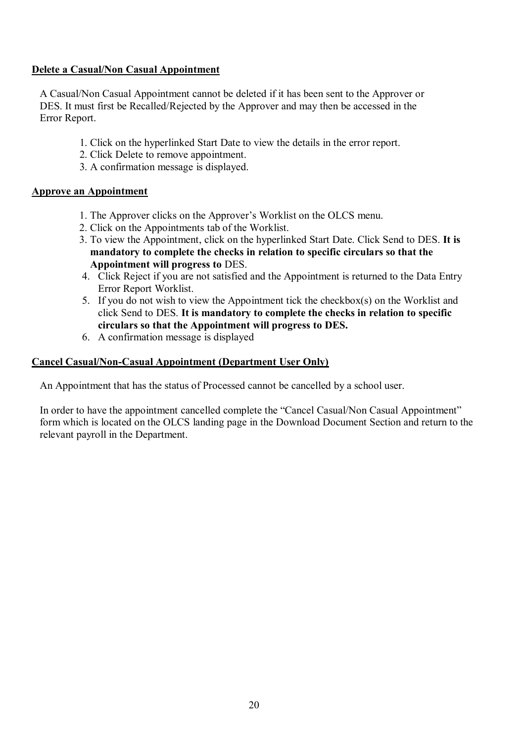## **Delete a Casual/Non Casual Appointment**

 A Casual/Non Casual Appointment cannot be deleted if it has been sent to the Approver or DES. It must first be Recalled/Rejected by the Approver and may then be accessed in the Error Report.

- 1. Click on the hyperlinked Start Date to view the details in the error report.
- 2. Click Delete to remove appointment.
- 3. A confirmation message is displayed.

## **Approve an Appointment**

- 1. The Approver clicks on the Approver's Worklist on the OLCS menu.
- 2. Click on the Appointments tab of the Worklist.
- 3. To view the Appointment, click on the hyperlinked Start Date. Click Send to DES. **It is mandatory to complete the checks in relation to specific circulars so that the Appointment will progress to** DES.
- 4. Click Reject if you are not satisfied and the Appointment is returned to the Data Entry Error Report Worklist.
- 5. If you do not wish to view the Appointment tick the checkbox(s) on the Worklist and click Send to DES. **It is mandatory to complete the checks in relation to specific circulars so that the Appointment will progress to DES.**
- 6. A confirmation message is displayed

# **Cancel Casual/Non-Casual Appointment (Department User Only)**

An Appointment that has the status of Processed cannot be cancelled by a school user.

 In order to have the appointment cancelled complete the "Cancel Casual/Non Casual Appointment" form which is located on the OLCS landing page in the Download Document Section and return to the relevant payroll in the Department.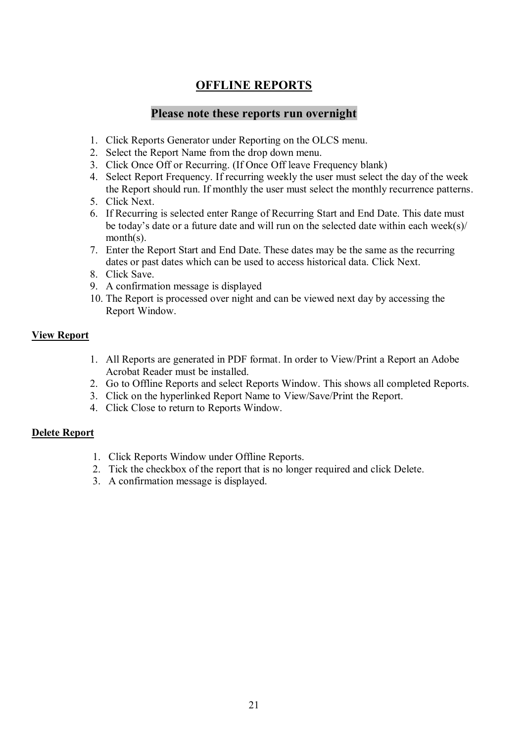# **OFFLINE REPORTS**

# **Please note these reports run overnight**

- 1. Click Reports Generator under Reporting on the OLCS menu.
- 2. Select the Report Name from the drop down menu.
- 3. Click Once Off or Recurring. (If Once Off leave Frequency blank)
- 4. Select Report Frequency. If recurring weekly the user must select the day of the week the Report should run. If monthly the user must select the monthly recurrence patterns.
- 5. Click Next.
- 6. If Recurring is selected enter Range of Recurring Start and End Date. This date must be today's date or a future date and will run on the selected date within each week(s)/ month(s).
- 7. Enter the Report Start and End Date. These dates may be the same as the recurring dates or past dates which can be used to access historical data. Click Next.
- 8. Click Save.
- 9. A confirmation message is displayed
- 10. The Report is processed over night and can be viewed next day by accessing the Report Window.

## **View Report**

- 1. All Reports are generated in PDF format. In order to View/Print a Report an Adobe Acrobat Reader must be installed.
- 2. Go to Offline Reports and select Reports Window. This shows all completed Reports.
- 3. Click on the hyperlinked Report Name to View/Save/Print the Report.
- 4. Click Close to return to Reports Window.

## **Delete Report**

- 1. Click Reports Window under Offline Reports.
- 2. Tick the checkbox of the report that is no longer required and click Delete.
- 3. A confirmation message is displayed.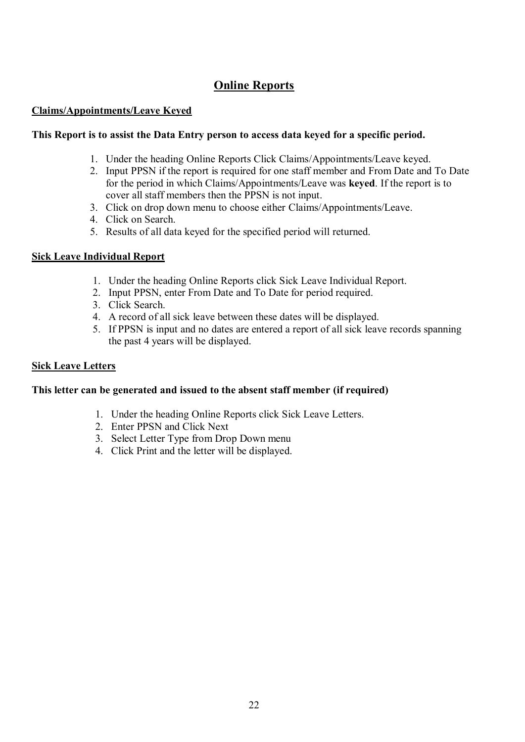# **Online Reports**

# **Claims/Appointments/Leave Keyed**

## **This Report is to assist the Data Entry person to access data keyed for a specific period.**

- 1. Under the heading Online Reports Click Claims/Appointments/Leave keyed.
- 2. Input PPSN if the report is required for one staff member and From Date and To Date for the period in which Claims/Appointments/Leave was **keyed**. If the report is to cover all staff members then the PPSN is not input.
- 3. Click on drop down menu to choose either Claims/Appointments/Leave.
- 4. Click on Search.
- 5. Results of all data keyed for the specified period will returned.

#### **Sick Leave Individual Report**

- 1. Under the heading Online Reports click Sick Leave Individual Report.
- 2. Input PPSN, enter From Date and To Date for period required.
- 3. Click Search.
- 4. A record of all sick leave between these dates will be displayed.
- 5. If PPSN is input and no dates are entered a report of all sick leave records spanning the past 4 years will be displayed.

#### **Sick Leave Letters**

#### **This letter can be generated and issued to the absent staff member (if required)**

- 1. Under the heading Online Reports click Sick Leave Letters.
- 2. Enter PPSN and Click Next
- 3. Select Letter Type from Drop Down menu
- 4. Click Print and the letter will be displayed.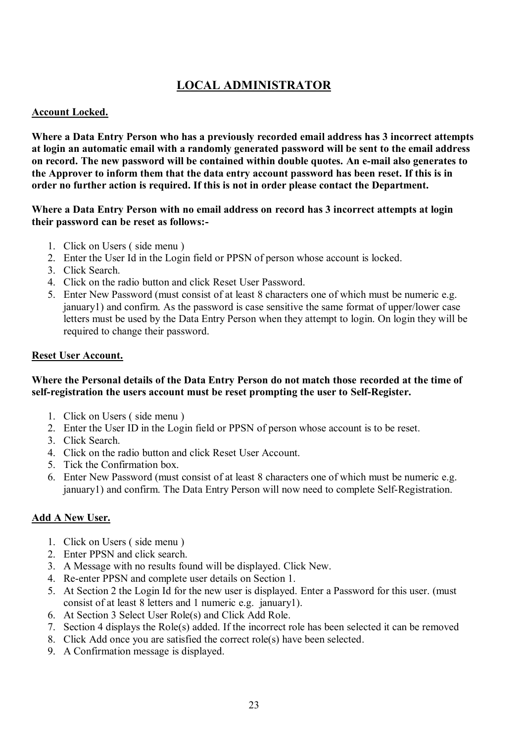# **LOCAL ADMINISTRATOR**

# **Account Locked.**

**Where a Data Entry Person who has a previously recorded email address has 3 incorrect attempts at login an automatic email with a randomly generated password will be sent to the email address on record. The new password will be contained within double quotes. An e-mail also generates to the Approver to inform them that the data entry account password has been reset. If this is in order no further action is required. If this is not in order please contact the Department.** 

## **Where a Data Entry Person with no email address on record has 3 incorrect attempts at login their password can be reset as follows:-**

- 1. Click on Users ( side menu )
- 2. Enter the User Id in the Login field or PPSN of person whose account is locked.
- 3. Click Search.
- 4. Click on the radio button and click Reset User Password.
- 5. Enter New Password (must consist of at least 8 characters one of which must be numeric e.g. january1) and confirm. As the password is case sensitive the same format of upper/lower case letters must be used by the Data Entry Person when they attempt to login. On login they will be required to change their password.

#### **Reset User Account.**

# **Where the Personal details of the Data Entry Person do not match those recorded at the time of self-registration the users account must be reset prompting the user to Self-Register.**

- 1. Click on Users ( side menu )
- 2. Enter the User ID in the Login field or PPSN of person whose account is to be reset.
- 3. Click Search.
- 4. Click on the radio button and click Reset User Account.
- 5. Tick the Confirmation box.
- 6. Enter New Password (must consist of at least 8 characters one of which must be numeric e.g. january1) and confirm. The Data Entry Person will now need to complete Self-Registration.

## **Add A New User.**

- 1. Click on Users ( side menu )
- 2. Enter PPSN and click search.
- 3. A Message with no results found will be displayed. Click New.
- 4. Re-enter PPSN and complete user details on Section 1.
- 5. At Section 2 the Login Id for the new user is displayed. Enter a Password for this user. (must consist of at least 8 letters and 1 numeric e.g. january1).
- 6. At Section 3 Select User Role(s) and Click Add Role.
- 7. Section 4 displays the Role(s) added. If the incorrect role has been selected it can be removed
- 8. Click Add once you are satisfied the correct role(s) have been selected.
- 9. A Confirmation message is displayed.